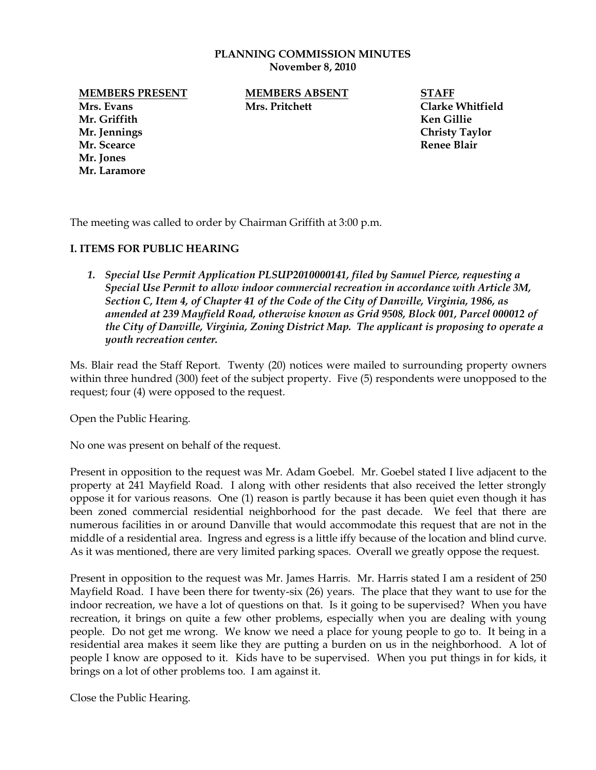### **PLANNING COMMISSION MINUTES November 8, 2010**

**MEMBERS PRESENT MEMBERS ABSENT STAFF**

**Mr. Griffith Ken Gillie Mr. Jennings Christy Taylor Mr. Scearce Renee Blair Mr. Jones Mr. Laramore**

**Mrs. Evans Mrs. Pritchett Clarke Whitfield**

The meeting was called to order by Chairman Griffith at 3:00 p.m.

# **I. ITEMS FOR PUBLIC HEARING**

*1. Special Use Permit Application PLSUP2010000141, filed by Samuel Pierce, requesting a Special Use Permit to allow indoor commercial recreation in accordance with Article 3M, Section C, Item 4, of Chapter 41 of the Code of the City of Danville, Virginia, 1986, as amended at 239 Mayfield Road, otherwise known as Grid 9508, Block 001, Parcel 000012 of the City of Danville, Virginia, Zoning District Map. The applicant is proposing to operate a youth recreation center.* 

Ms. Blair read the Staff Report. Twenty (20) notices were mailed to surrounding property owners within three hundred (300) feet of the subject property. Five (5) respondents were unopposed to the request; four (4) were opposed to the request.

Open the Public Hearing.

No one was present on behalf of the request.

Present in opposition to the request was Mr. Adam Goebel. Mr. Goebel stated I live adjacent to the property at 241 Mayfield Road. I along with other residents that also received the letter strongly oppose it for various reasons. One (1) reason is partly because it has been quiet even though it has been zoned commercial residential neighborhood for the past decade. We feel that there are numerous facilities in or around Danville that would accommodate this request that are not in the middle of a residential area. Ingress and egress is a little iffy because of the location and blind curve. As it was mentioned, there are very limited parking spaces. Overall we greatly oppose the request.

Present in opposition to the request was Mr. James Harris. Mr. Harris stated I am a resident of 250 Mayfield Road. I have been there for twenty-six (26) years. The place that they want to use for the indoor recreation, we have a lot of questions on that. Is it going to be supervised? When you have recreation, it brings on quite a few other problems, especially when you are dealing with young people. Do not get me wrong. We know we need a place for young people to go to. It being in a residential area makes it seem like they are putting a burden on us in the neighborhood. A lot of people I know are opposed to it. Kids have to be supervised. When you put things in for kids, it brings on a lot of other problems too. I am against it.

Close the Public Hearing.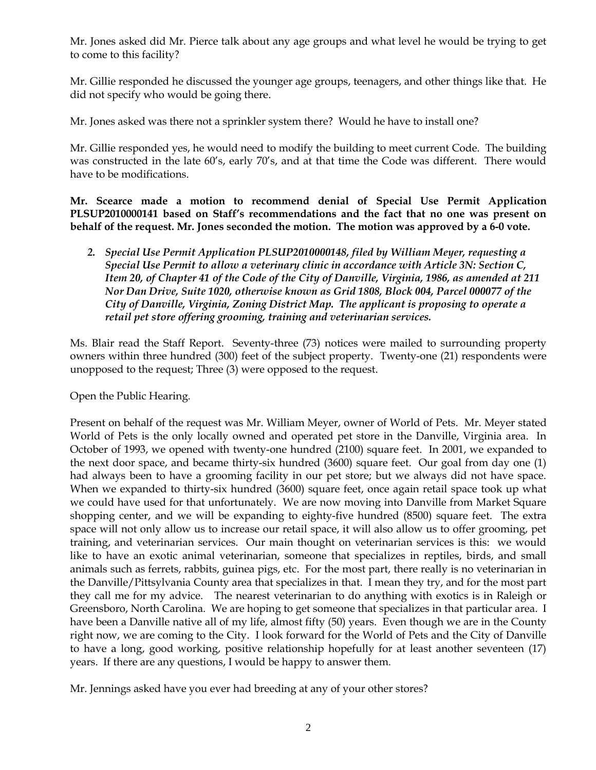Mr. Jones asked did Mr. Pierce talk about any age groups and what level he would be trying to get to come to this facility?

Mr. Gillie responded he discussed the younger age groups, teenagers, and other things like that. He did not specify who would be going there.

Mr. Jones asked was there not a sprinkler system there? Would he have to install one?

Mr. Gillie responded yes, he would need to modify the building to meet current Code. The building was constructed in the late 60's, early 70's, and at that time the Code was different. There would have to be modifications.

**Mr. Scearce made a motion to recommend denial of Special Use Permit Application PLSUP2010000141 based on Staff's recommendations and the fact that no one was present on behalf of the request. Mr. Jones seconded the motion. The motion was approved by a 6-0 vote.** 

*2. Special Use Permit Application PLSUP2010000148, filed by William Meyer, requesting a Special Use Permit to allow a veterinary clinic in accordance with Article 3N: Section C, Item 20, of Chapter 41 of the Code of the City of Danville, Virginia, 1986, as amended at 211 Nor Dan Drive, Suite 1020, otherwise known as Grid 1808, Block 004, Parcel 000077 of the City of Danville, Virginia, Zoning District Map. The applicant is proposing to operate a retail pet store offering grooming, training and veterinarian services.* 

Ms. Blair read the Staff Report. Seventy-three (73) notices were mailed to surrounding property owners within three hundred (300) feet of the subject property. Twenty-one (21) respondents were unopposed to the request; Three (3) were opposed to the request.

Open the Public Hearing.

Present on behalf of the request was Mr. William Meyer, owner of World of Pets. Mr. Meyer stated World of Pets is the only locally owned and operated pet store in the Danville, Virginia area. In October of 1993, we opened with twenty-one hundred (2100) square feet. In 2001, we expanded to the next door space, and became thirty-six hundred (3600) square feet. Our goal from day one (1) had always been to have a grooming facility in our pet store; but we always did not have space. When we expanded to thirty-six hundred (3600) square feet, once again retail space took up what we could have used for that unfortunately. We are now moving into Danville from Market Square shopping center, and we will be expanding to eighty-five hundred (8500) square feet. The extra space will not only allow us to increase our retail space, it will also allow us to offer grooming, pet training, and veterinarian services. Our main thought on veterinarian services is this: we would like to have an exotic animal veterinarian, someone that specializes in reptiles, birds, and small animals such as ferrets, rabbits, guinea pigs, etc. For the most part, there really is no veterinarian in the Danville/Pittsylvania County area that specializes in that. I mean they try, and for the most part they call me for my advice. The nearest veterinarian to do anything with exotics is in Raleigh or Greensboro, North Carolina. We are hoping to get someone that specializes in that particular area. I have been a Danville native all of my life, almost fifty (50) years. Even though we are in the County right now, we are coming to the City. I look forward for the World of Pets and the City of Danville to have a long, good working, positive relationship hopefully for at least another seventeen (17) years. If there are any questions, I would be happy to answer them.

Mr. Jennings asked have you ever had breeding at any of your other stores?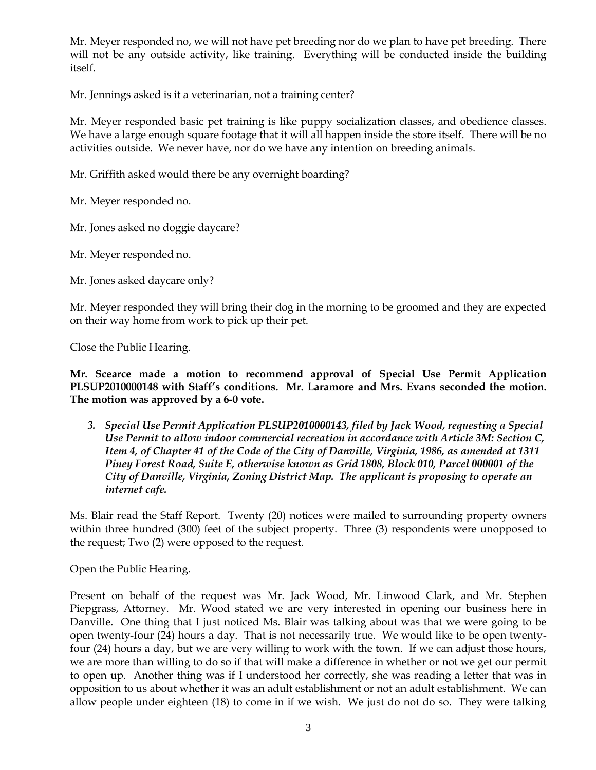Mr. Meyer responded no, we will not have pet breeding nor do we plan to have pet breeding. There will not be any outside activity, like training. Everything will be conducted inside the building itself.

Mr. Jennings asked is it a veterinarian, not a training center?

Mr. Meyer responded basic pet training is like puppy socialization classes, and obedience classes. We have a large enough square footage that it will all happen inside the store itself. There will be no activities outside. We never have, nor do we have any intention on breeding animals.

Mr. Griffith asked would there be any overnight boarding?

Mr. Meyer responded no.

Mr. Jones asked no doggie daycare?

Mr. Meyer responded no.

Mr. Jones asked daycare only?

Mr. Meyer responded they will bring their dog in the morning to be groomed and they are expected on their way home from work to pick up their pet.

Close the Public Hearing.

**Mr. Scearce made a motion to recommend approval of Special Use Permit Application PLSUP2010000148 with Staff's conditions. Mr. Laramore and Mrs. Evans seconded the motion. The motion was approved by a 6-0 vote.** 

*3. Special Use Permit Application PLSUP2010000143, filed by Jack Wood, requesting a Special Use Permit to allow indoor commercial recreation in accordance with Article 3M: Section C, Item 4, of Chapter 41 of the Code of the City of Danville, Virginia, 1986, as amended at 1311 Piney Forest Road, Suite E, otherwise known as Grid 1808, Block 010, Parcel 000001 of the City of Danville, Virginia, Zoning District Map. The applicant is proposing to operate an internet cafe.*

Ms. Blair read the Staff Report. Twenty (20) notices were mailed to surrounding property owners within three hundred (300) feet of the subject property. Three (3) respondents were unopposed to the request; Two (2) were opposed to the request.

Open the Public Hearing.

Present on behalf of the request was Mr. Jack Wood, Mr. Linwood Clark, and Mr. Stephen Piepgrass, Attorney. Mr. Wood stated we are very interested in opening our business here in Danville. One thing that I just noticed Ms. Blair was talking about was that we were going to be open twenty-four (24) hours a day. That is not necessarily true. We would like to be open twentyfour (24) hours a day, but we are very willing to work with the town. If we can adjust those hours, we are more than willing to do so if that will make a difference in whether or not we get our permit to open up. Another thing was if I understood her correctly, she was reading a letter that was in opposition to us about whether it was an adult establishment or not an adult establishment. We can allow people under eighteen (18) to come in if we wish. We just do not do so. They were talking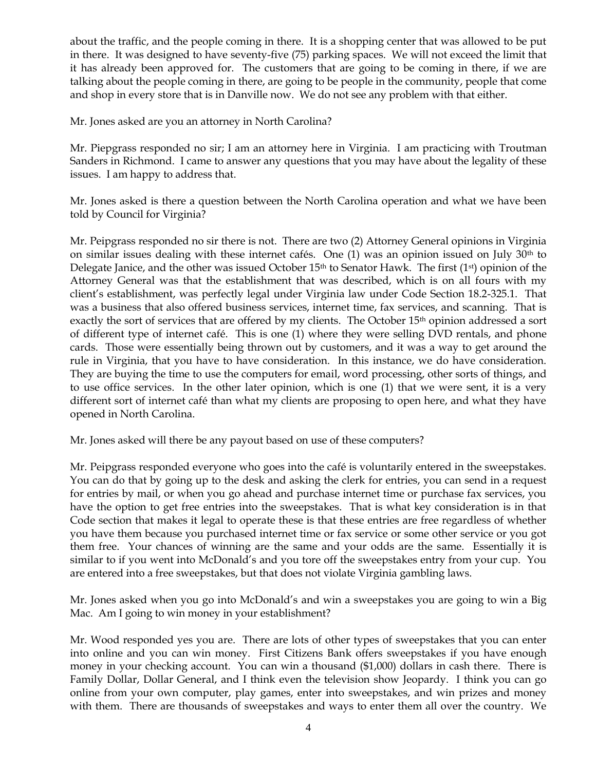about the traffic, and the people coming in there. It is a shopping center that was allowed to be put in there. It was designed to have seventy-five (75) parking spaces. We will not exceed the limit that it has already been approved for. The customers that are going to be coming in there, if we are talking about the people coming in there, are going to be people in the community, people that come and shop in every store that is in Danville now. We do not see any problem with that either.

Mr. Jones asked are you an attorney in North Carolina?

Mr. Piepgrass responded no sir; I am an attorney here in Virginia. I am practicing with Troutman Sanders in Richmond. I came to answer any questions that you may have about the legality of these issues. I am happy to address that.

Mr. Jones asked is there a question between the North Carolina operation and what we have been told by Council for Virginia?

Mr. Peipgrass responded no sir there is not. There are two (2) Attorney General opinions in Virginia on similar issues dealing with these internet cafés. One  $(1)$  was an opinion issued on July 30<sup>th</sup> to Delegate Janice, and the other was issued October 15<sup>th</sup> to Senator Hawk. The first (1<sup>st</sup>) opinion of the Attorney General was that the establishment that was described, which is on all fours with my client's establishment, was perfectly legal under Virginia law under Code Section 18.2-325.1. That was a business that also offered business services, internet time, fax services, and scanning. That is exactly the sort of services that are offered by my clients. The October 15<sup>th</sup> opinion addressed a sort of different type of internet café. This is one (1) where they were selling DVD rentals, and phone cards. Those were essentially being thrown out by customers, and it was a way to get around the rule in Virginia, that you have to have consideration. In this instance, we do have consideration. They are buying the time to use the computers for email, word processing, other sorts of things, and to use office services. In the other later opinion, which is one (1) that we were sent, it is a very different sort of internet café than what my clients are proposing to open here, and what they have opened in North Carolina.

Mr. Jones asked will there be any payout based on use of these computers?

Mr. Peipgrass responded everyone who goes into the café is voluntarily entered in the sweepstakes. You can do that by going up to the desk and asking the clerk for entries, you can send in a request for entries by mail, or when you go ahead and purchase internet time or purchase fax services, you have the option to get free entries into the sweepstakes. That is what key consideration is in that Code section that makes it legal to operate these is that these entries are free regardless of whether you have them because you purchased internet time or fax service or some other service or you got them free. Your chances of winning are the same and your odds are the same. Essentially it is similar to if you went into McDonald's and you tore off the sweepstakes entry from your cup. You are entered into a free sweepstakes, but that does not violate Virginia gambling laws.

Mr. Jones asked when you go into McDonald's and win a sweepstakes you are going to win a Big Mac. Am I going to win money in your establishment?

Mr. Wood responded yes you are. There are lots of other types of sweepstakes that you can enter into online and you can win money. First Citizens Bank offers sweepstakes if you have enough money in your checking account. You can win a thousand (\$1,000) dollars in cash there. There is Family Dollar, Dollar General, and I think even the television show Jeopardy. I think you can go online from your own computer, play games, enter into sweepstakes, and win prizes and money with them. There are thousands of sweepstakes and ways to enter them all over the country. We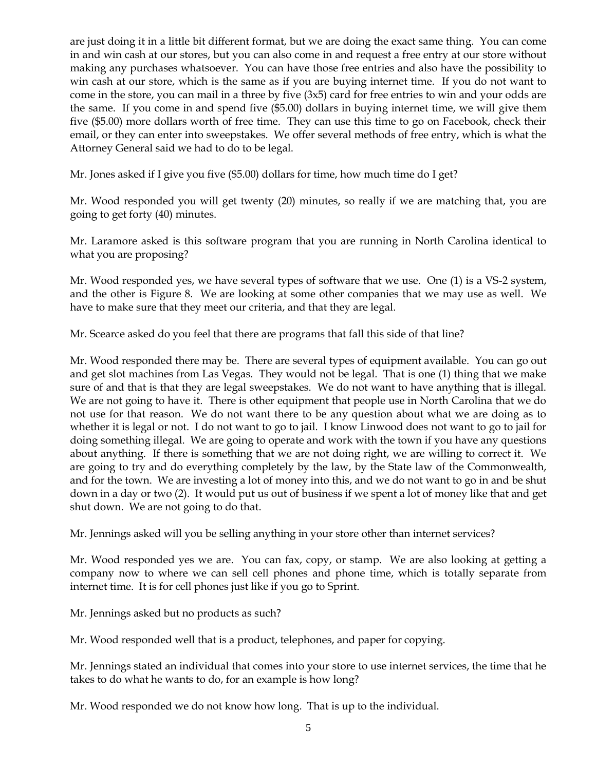are just doing it in a little bit different format, but we are doing the exact same thing. You can come in and win cash at our stores, but you can also come in and request a free entry at our store without making any purchases whatsoever. You can have those free entries and also have the possibility to win cash at our store, which is the same as if you are buying internet time. If you do not want to come in the store, you can mail in a three by five (3x5) card for free entries to win and your odds are the same. If you come in and spend five (\$5.00) dollars in buying internet time, we will give them five (\$5.00) more dollars worth of free time. They can use this time to go on Facebook, check their email, or they can enter into sweepstakes. We offer several methods of free entry, which is what the Attorney General said we had to do to be legal.

Mr. Jones asked if I give you five (\$5.00) dollars for time, how much time do I get?

Mr. Wood responded you will get twenty (20) minutes, so really if we are matching that, you are going to get forty (40) minutes.

Mr. Laramore asked is this software program that you are running in North Carolina identical to what you are proposing?

Mr. Wood responded yes, we have several types of software that we use. One (1) is a VS-2 system, and the other is Figure 8. We are looking at some other companies that we may use as well. We have to make sure that they meet our criteria, and that they are legal.

Mr. Scearce asked do you feel that there are programs that fall this side of that line?

Mr. Wood responded there may be. There are several types of equipment available. You can go out and get slot machines from Las Vegas. They would not be legal. That is one (1) thing that we make sure of and that is that they are legal sweepstakes. We do not want to have anything that is illegal. We are not going to have it. There is other equipment that people use in North Carolina that we do not use for that reason. We do not want there to be any question about what we are doing as to whether it is legal or not. I do not want to go to jail. I know Linwood does not want to go to jail for doing something illegal. We are going to operate and work with the town if you have any questions about anything. If there is something that we are not doing right, we are willing to correct it. We are going to try and do everything completely by the law, by the State law of the Commonwealth, and for the town. We are investing a lot of money into this, and we do not want to go in and be shut down in a day or two (2). It would put us out of business if we spent a lot of money like that and get shut down. We are not going to do that.

Mr. Jennings asked will you be selling anything in your store other than internet services?

Mr. Wood responded yes we are. You can fax, copy, or stamp. We are also looking at getting a company now to where we can sell cell phones and phone time, which is totally separate from internet time. It is for cell phones just like if you go to Sprint.

Mr. Jennings asked but no products as such?

Mr. Wood responded well that is a product, telephones, and paper for copying.

Mr. Jennings stated an individual that comes into your store to use internet services, the time that he takes to do what he wants to do, for an example is how long?

Mr. Wood responded we do not know how long. That is up to the individual.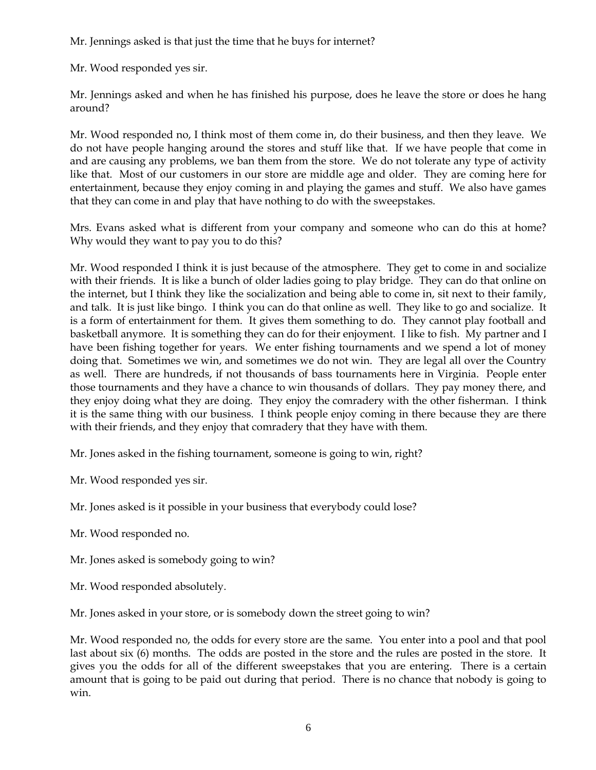Mr. Jennings asked is that just the time that he buys for internet?

Mr. Wood responded yes sir.

Mr. Jennings asked and when he has finished his purpose, does he leave the store or does he hang around?

Mr. Wood responded no, I think most of them come in, do their business, and then they leave. We do not have people hanging around the stores and stuff like that. If we have people that come in and are causing any problems, we ban them from the store. We do not tolerate any type of activity like that. Most of our customers in our store are middle age and older. They are coming here for entertainment, because they enjoy coming in and playing the games and stuff. We also have games that they can come in and play that have nothing to do with the sweepstakes.

Mrs. Evans asked what is different from your company and someone who can do this at home? Why would they want to pay you to do this?

Mr. Wood responded I think it is just because of the atmosphere. They get to come in and socialize with their friends. It is like a bunch of older ladies going to play bridge. They can do that online on the internet, but I think they like the socialization and being able to come in, sit next to their family, and talk. It is just like bingo. I think you can do that online as well. They like to go and socialize. It is a form of entertainment for them. It gives them something to do. They cannot play football and basketball anymore. It is something they can do for their enjoyment. I like to fish. My partner and I have been fishing together for years. We enter fishing tournaments and we spend a lot of money doing that. Sometimes we win, and sometimes we do not win. They are legal all over the Country as well. There are hundreds, if not thousands of bass tournaments here in Virginia. People enter those tournaments and they have a chance to win thousands of dollars. They pay money there, and they enjoy doing what they are doing. They enjoy the comradery with the other fisherman. I think it is the same thing with our business. I think people enjoy coming in there because they are there with their friends, and they enjoy that comradery that they have with them.

Mr. Jones asked in the fishing tournament, someone is going to win, right?

Mr. Wood responded yes sir.

Mr. Jones asked is it possible in your business that everybody could lose?

Mr. Wood responded no.

Mr. Jones asked is somebody going to win?

Mr. Wood responded absolutely.

Mr. Jones asked in your store, or is somebody down the street going to win?

Mr. Wood responded no, the odds for every store are the same. You enter into a pool and that pool last about six (6) months. The odds are posted in the store and the rules are posted in the store. It gives you the odds for all of the different sweepstakes that you are entering. There is a certain amount that is going to be paid out during that period. There is no chance that nobody is going to win.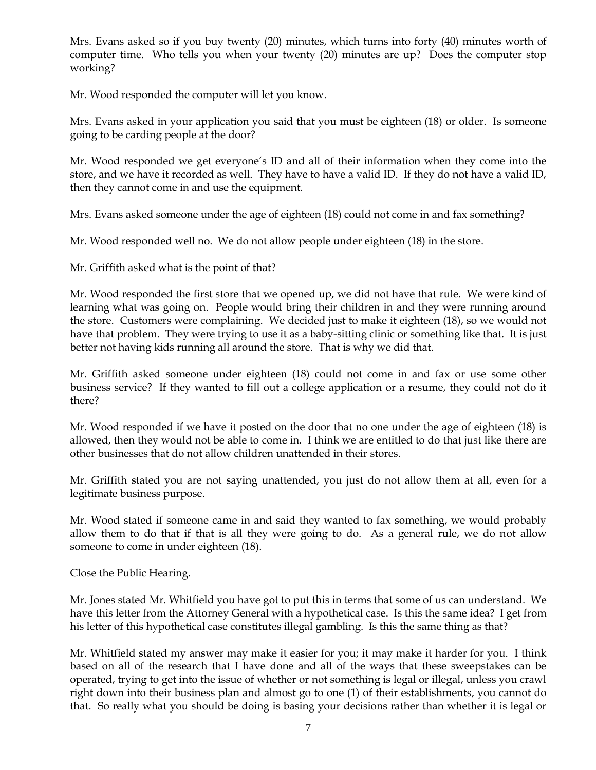Mrs. Evans asked so if you buy twenty (20) minutes, which turns into forty (40) minutes worth of computer time. Who tells you when your twenty (20) minutes are up? Does the computer stop working?

Mr. Wood responded the computer will let you know.

Mrs. Evans asked in your application you said that you must be eighteen (18) or older. Is someone going to be carding people at the door?

Mr. Wood responded we get everyone's ID and all of their information when they come into the store, and we have it recorded as well. They have to have a valid ID. If they do not have a valid ID, then they cannot come in and use the equipment.

Mrs. Evans asked someone under the age of eighteen (18) could not come in and fax something?

Mr. Wood responded well no. We do not allow people under eighteen (18) in the store.

Mr. Griffith asked what is the point of that?

Mr. Wood responded the first store that we opened up, we did not have that rule. We were kind of learning what was going on. People would bring their children in and they were running around the store. Customers were complaining. We decided just to make it eighteen (18), so we would not have that problem. They were trying to use it as a baby-sitting clinic or something like that. It is just better not having kids running all around the store. That is why we did that.

Mr. Griffith asked someone under eighteen (18) could not come in and fax or use some other business service? If they wanted to fill out a college application or a resume, they could not do it there?

Mr. Wood responded if we have it posted on the door that no one under the age of eighteen (18) is allowed, then they would not be able to come in. I think we are entitled to do that just like there are other businesses that do not allow children unattended in their stores.

Mr. Griffith stated you are not saying unattended, you just do not allow them at all, even for a legitimate business purpose.

Mr. Wood stated if someone came in and said they wanted to fax something, we would probably allow them to do that if that is all they were going to do. As a general rule, we do not allow someone to come in under eighteen (18).

Close the Public Hearing.

Mr. Jones stated Mr. Whitfield you have got to put this in terms that some of us can understand. We have this letter from the Attorney General with a hypothetical case. Is this the same idea? I get from his letter of this hypothetical case constitutes illegal gambling. Is this the same thing as that?

Mr. Whitfield stated my answer may make it easier for you; it may make it harder for you. I think based on all of the research that I have done and all of the ways that these sweepstakes can be operated, trying to get into the issue of whether or not something is legal or illegal, unless you crawl right down into their business plan and almost go to one (1) of their establishments, you cannot do that. So really what you should be doing is basing your decisions rather than whether it is legal or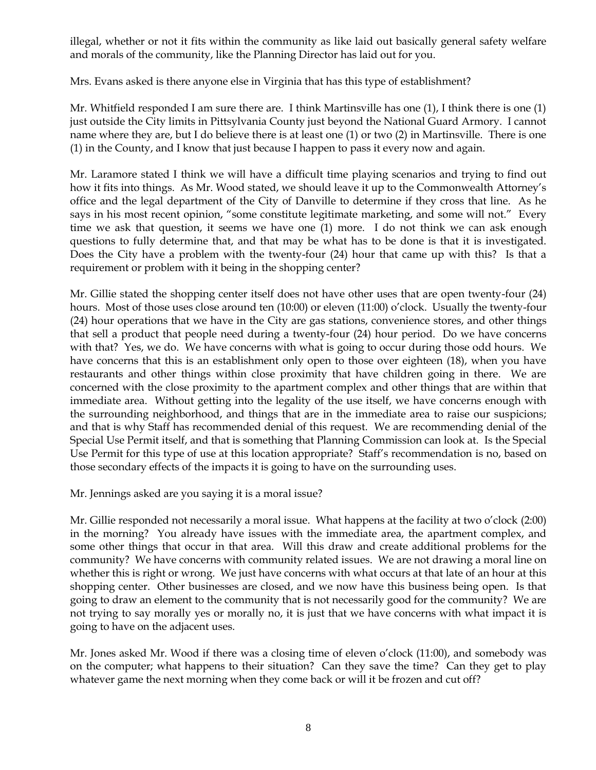illegal, whether or not it fits within the community as like laid out basically general safety welfare and morals of the community, like the Planning Director has laid out for you.

Mrs. Evans asked is there anyone else in Virginia that has this type of establishment?

Mr. Whitfield responded I am sure there are. I think Martinsville has one (1), I think there is one (1) just outside the City limits in Pittsylvania County just beyond the National Guard Armory. I cannot name where they are, but I do believe there is at least one (1) or two (2) in Martinsville. There is one (1) in the County, and I know that just because I happen to pass it every now and again.

Mr. Laramore stated I think we will have a difficult time playing scenarios and trying to find out how it fits into things. As Mr. Wood stated, we should leave it up to the Commonwealth Attorney's office and the legal department of the City of Danville to determine if they cross that line. As he says in his most recent opinion, "some constitute legitimate marketing, and some will not." Every time we ask that question, it seems we have one (1) more. I do not think we can ask enough questions to fully determine that, and that may be what has to be done is that it is investigated. Does the City have a problem with the twenty-four (24) hour that came up with this? Is that a requirement or problem with it being in the shopping center?

Mr. Gillie stated the shopping center itself does not have other uses that are open twenty-four (24) hours. Most of those uses close around ten (10:00) or eleven (11:00) o'clock. Usually the twenty-four (24) hour operations that we have in the City are gas stations, convenience stores, and other things that sell a product that people need during a twenty-four (24) hour period. Do we have concerns with that? Yes, we do. We have concerns with what is going to occur during those odd hours. We have concerns that this is an establishment only open to those over eighteen (18), when you have restaurants and other things within close proximity that have children going in there. We are concerned with the close proximity to the apartment complex and other things that are within that immediate area. Without getting into the legality of the use itself, we have concerns enough with the surrounding neighborhood, and things that are in the immediate area to raise our suspicions; and that is why Staff has recommended denial of this request. We are recommending denial of the Special Use Permit itself, and that is something that Planning Commission can look at. Is the Special Use Permit for this type of use at this location appropriate? Staff's recommendation is no, based on those secondary effects of the impacts it is going to have on the surrounding uses.

Mr. Jennings asked are you saying it is a moral issue?

Mr. Gillie responded not necessarily a moral issue. What happens at the facility at two o'clock (2:00) in the morning? You already have issues with the immediate area, the apartment complex, and some other things that occur in that area. Will this draw and create additional problems for the community? We have concerns with community related issues. We are not drawing a moral line on whether this is right or wrong. We just have concerns with what occurs at that late of an hour at this shopping center. Other businesses are closed, and we now have this business being open. Is that going to draw an element to the community that is not necessarily good for the community? We are not trying to say morally yes or morally no, it is just that we have concerns with what impact it is going to have on the adjacent uses.

Mr. Jones asked Mr. Wood if there was a closing time of eleven o'clock (11:00), and somebody was on the computer; what happens to their situation? Can they save the time? Can they get to play whatever game the next morning when they come back or will it be frozen and cut off?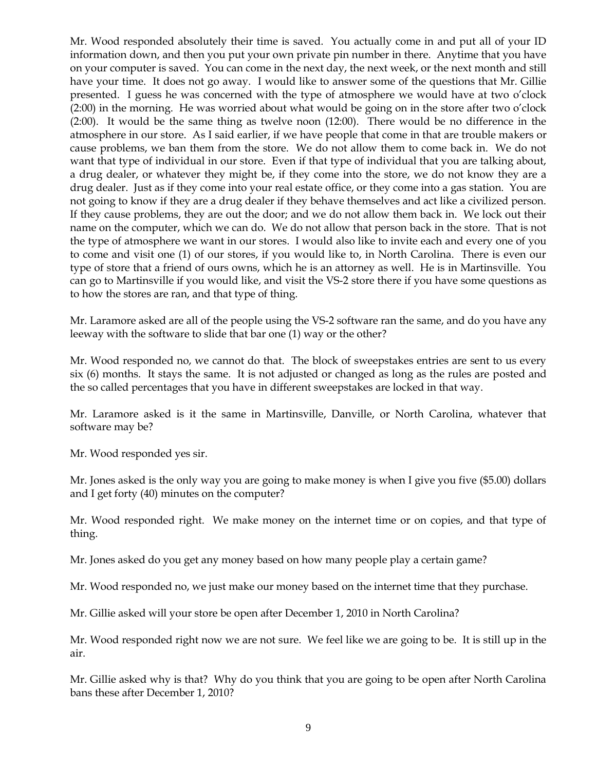Mr. Wood responded absolutely their time is saved. You actually come in and put all of your ID information down, and then you put your own private pin number in there. Anytime that you have on your computer is saved. You can come in the next day, the next week, or the next month and still have your time. It does not go away. I would like to answer some of the questions that Mr. Gillie presented. I guess he was concerned with the type of atmosphere we would have at two o'clock (2:00) in the morning. He was worried about what would be going on in the store after two o'clock (2:00). It would be the same thing as twelve noon (12:00). There would be no difference in the atmosphere in our store. As I said earlier, if we have people that come in that are trouble makers or cause problems, we ban them from the store. We do not allow them to come back in. We do not want that type of individual in our store. Even if that type of individual that you are talking about, a drug dealer, or whatever they might be, if they come into the store, we do not know they are a drug dealer. Just as if they come into your real estate office, or they come into a gas station. You are not going to know if they are a drug dealer if they behave themselves and act like a civilized person. If they cause problems, they are out the door; and we do not allow them back in. We lock out their name on the computer, which we can do. We do not allow that person back in the store. That is not the type of atmosphere we want in our stores. I would also like to invite each and every one of you to come and visit one (1) of our stores, if you would like to, in North Carolina. There is even our type of store that a friend of ours owns, which he is an attorney as well. He is in Martinsville. You can go to Martinsville if you would like, and visit the VS-2 store there if you have some questions as to how the stores are ran, and that type of thing.

Mr. Laramore asked are all of the people using the VS-2 software ran the same, and do you have any leeway with the software to slide that bar one (1) way or the other?

Mr. Wood responded no, we cannot do that. The block of sweepstakes entries are sent to us every six (6) months. It stays the same. It is not adjusted or changed as long as the rules are posted and the so called percentages that you have in different sweepstakes are locked in that way.

Mr. Laramore asked is it the same in Martinsville, Danville, or North Carolina, whatever that software may be?

Mr. Wood responded yes sir.

Mr. Jones asked is the only way you are going to make money is when I give you five (\$5.00) dollars and I get forty (40) minutes on the computer?

Mr. Wood responded right. We make money on the internet time or on copies, and that type of thing.

Mr. Jones asked do you get any money based on how many people play a certain game?

Mr. Wood responded no, we just make our money based on the internet time that they purchase.

Mr. Gillie asked will your store be open after December 1, 2010 in North Carolina?

Mr. Wood responded right now we are not sure. We feel like we are going to be. It is still up in the air.

Mr. Gillie asked why is that? Why do you think that you are going to be open after North Carolina bans these after December 1, 2010?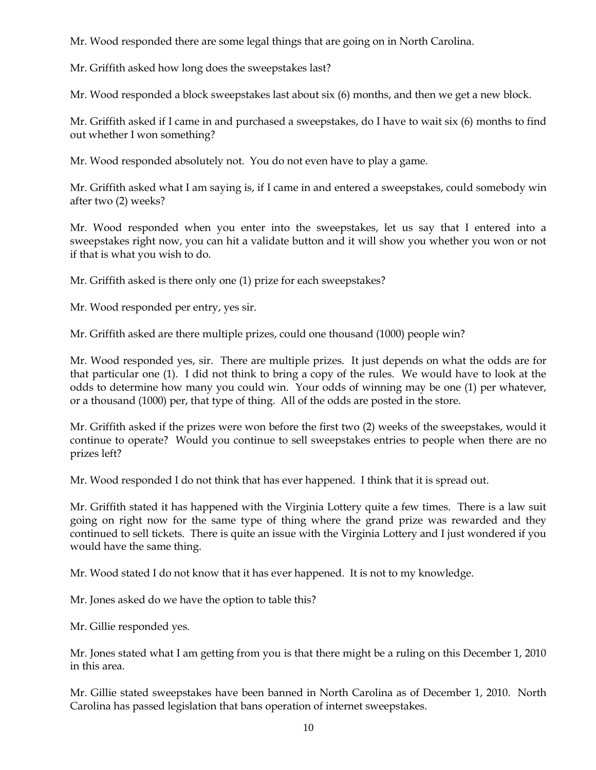Mr. Wood responded there are some legal things that are going on in North Carolina.

Mr. Griffith asked how long does the sweepstakes last?

Mr. Wood responded a block sweepstakes last about six (6) months, and then we get a new block.

Mr. Griffith asked if I came in and purchased a sweepstakes, do I have to wait six (6) months to find out whether I won something?

Mr. Wood responded absolutely not. You do not even have to play a game.

Mr. Griffith asked what I am saying is, if I came in and entered a sweepstakes, could somebody win after two (2) weeks?

Mr. Wood responded when you enter into the sweepstakes, let us say that I entered into a sweepstakes right now, you can hit a validate button and it will show you whether you won or not if that is what you wish to do.

Mr. Griffith asked is there only one (1) prize for each sweepstakes?

Mr. Wood responded per entry, yes sir.

Mr. Griffith asked are there multiple prizes, could one thousand (1000) people win?

Mr. Wood responded yes, sir. There are multiple prizes. It just depends on what the odds are for that particular one (1). I did not think to bring a copy of the rules. We would have to look at the odds to determine how many you could win. Your odds of winning may be one (1) per whatever, or a thousand (1000) per, that type of thing. All of the odds are posted in the store.

Mr. Griffith asked if the prizes were won before the first two (2) weeks of the sweepstakes, would it continue to operate? Would you continue to sell sweepstakes entries to people when there are no prizes left?

Mr. Wood responded I do not think that has ever happened. I think that it is spread out.

Mr. Griffith stated it has happened with the Virginia Lottery quite a few times. There is a law suit going on right now for the same type of thing where the grand prize was rewarded and they continued to sell tickets. There is quite an issue with the Virginia Lottery and I just wondered if you would have the same thing.

Mr. Wood stated I do not know that it has ever happened. It is not to my knowledge.

Mr. Jones asked do we have the option to table this?

Mr. Gillie responded yes.

Mr. Jones stated what I am getting from you is that there might be a ruling on this December 1, 2010 in this area.

Mr. Gillie stated sweepstakes have been banned in North Carolina as of December 1, 2010. North Carolina has passed legislation that bans operation of internet sweepstakes.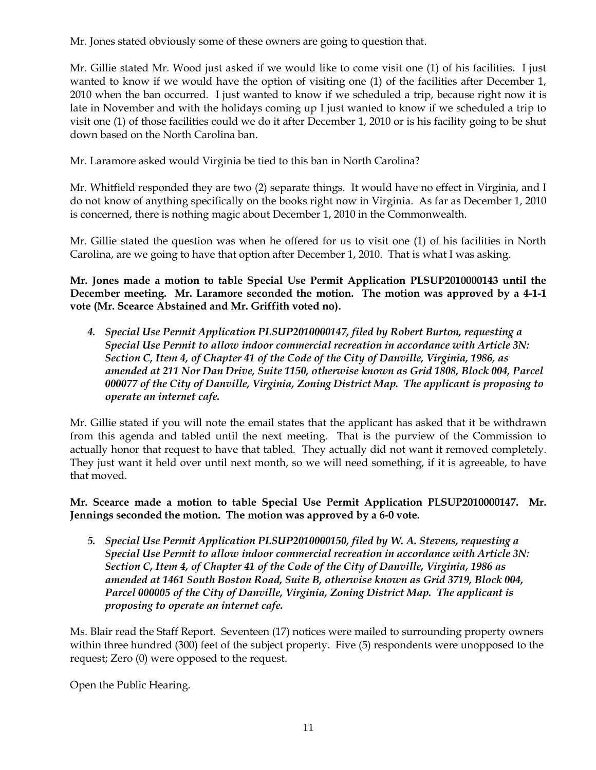Mr. Jones stated obviously some of these owners are going to question that.

Mr. Gillie stated Mr. Wood just asked if we would like to come visit one (1) of his facilities. I just wanted to know if we would have the option of visiting one (1) of the facilities after December 1, 2010 when the ban occurred. I just wanted to know if we scheduled a trip, because right now it is late in November and with the holidays coming up I just wanted to know if we scheduled a trip to visit one (1) of those facilities could we do it after December 1, 2010 or is his facility going to be shut down based on the North Carolina ban.

Mr. Laramore asked would Virginia be tied to this ban in North Carolina?

Mr. Whitfield responded they are two (2) separate things. It would have no effect in Virginia, and I do not know of anything specifically on the books right now in Virginia. As far as December 1, 2010 is concerned, there is nothing magic about December 1, 2010 in the Commonwealth.

Mr. Gillie stated the question was when he offered for us to visit one (1) of his facilities in North Carolina, are we going to have that option after December 1, 2010. That is what I was asking.

**Mr. Jones made a motion to table Special Use Permit Application PLSUP2010000143 until the December meeting. Mr. Laramore seconded the motion. The motion was approved by a 4-1-1 vote (Mr. Scearce Abstained and Mr. Griffith voted no).** 

*4. Special Use Permit Application PLSUP2010000147, filed by Robert Burton, requesting a Special Use Permit to allow indoor commercial recreation in accordance with Article 3N: Section C, Item 4, of Chapter 41 of the Code of the City of Danville, Virginia, 1986, as amended at 211 Nor Dan Drive, Suite 1150, otherwise known as Grid 1808, Block 004, Parcel 000077 of the City of Danville, Virginia, Zoning District Map. The applicant is proposing to operate an internet cafe.*

Mr. Gillie stated if you will note the email states that the applicant has asked that it be withdrawn from this agenda and tabled until the next meeting. That is the purview of the Commission to actually honor that request to have that tabled. They actually did not want it removed completely. They just want it held over until next month, so we will need something, if it is agreeable, to have that moved.

# **Mr. Scearce made a motion to table Special Use Permit Application PLSUP2010000147. Mr. Jennings seconded the motion. The motion was approved by a 6-0 vote.**

*5. Special Use Permit Application PLSUP2010000150, filed by W. A. Stevens, requesting a Special Use Permit to allow indoor commercial recreation in accordance with Article 3N: Section C, Item 4, of Chapter 41 of the Code of the City of Danville, Virginia, 1986 as amended at 1461 South Boston Road, Suite B, otherwise known as Grid 3719, Block 004, Parcel 000005 of the City of Danville, Virginia, Zoning District Map. The applicant is proposing to operate an internet cafe.*

Ms. Blair read the Staff Report. Seventeen (17) notices were mailed to surrounding property owners within three hundred (300) feet of the subject property. Five (5) respondents were unopposed to the request; Zero (0) were opposed to the request.

Open the Public Hearing.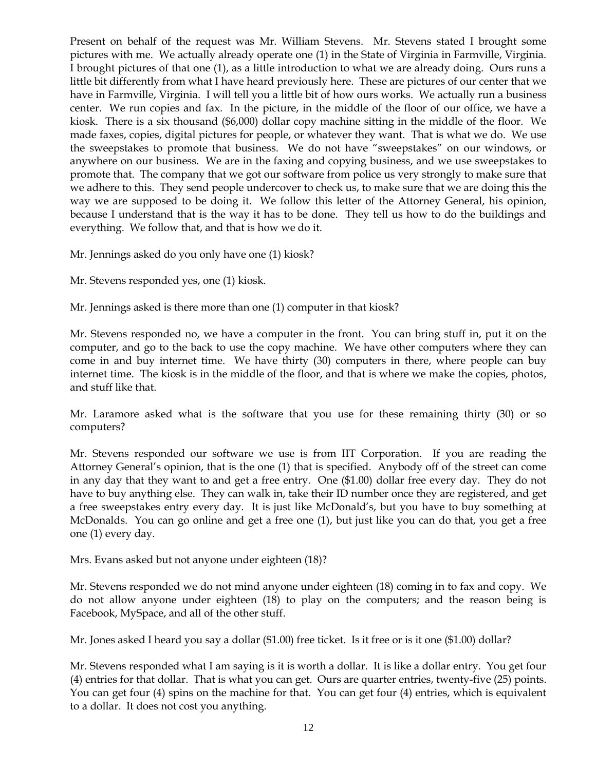Present on behalf of the request was Mr. William Stevens. Mr. Stevens stated I brought some pictures with me. We actually already operate one (1) in the State of Virginia in Farmville, Virginia. I brought pictures of that one (1), as a little introduction to what we are already doing. Ours runs a little bit differently from what I have heard previously here. These are pictures of our center that we have in Farmville, Virginia. I will tell you a little bit of how ours works. We actually run a business center. We run copies and fax. In the picture, in the middle of the floor of our office, we have a kiosk. There is a six thousand (\$6,000) dollar copy machine sitting in the middle of the floor. We made faxes, copies, digital pictures for people, or whatever they want. That is what we do. We use the sweepstakes to promote that business. We do not have "sweepstakes" on our windows, or anywhere on our business. We are in the faxing and copying business, and we use sweepstakes to promote that. The company that we got our software from police us very strongly to make sure that we adhere to this. They send people undercover to check us, to make sure that we are doing this the way we are supposed to be doing it. We follow this letter of the Attorney General, his opinion, because I understand that is the way it has to be done. They tell us how to do the buildings and everything. We follow that, and that is how we do it.

Mr. Jennings asked do you only have one (1) kiosk?

Mr. Stevens responded yes, one (1) kiosk.

Mr. Jennings asked is there more than one (1) computer in that kiosk?

Mr. Stevens responded no, we have a computer in the front. You can bring stuff in, put it on the computer, and go to the back to use the copy machine. We have other computers where they can come in and buy internet time. We have thirty (30) computers in there, where people can buy internet time. The kiosk is in the middle of the floor, and that is where we make the copies, photos, and stuff like that.

Mr. Laramore asked what is the software that you use for these remaining thirty (30) or so computers?

Mr. Stevens responded our software we use is from IIT Corporation. If you are reading the Attorney General's opinion, that is the one (1) that is specified. Anybody off of the street can come in any day that they want to and get a free entry. One (\$1.00) dollar free every day. They do not have to buy anything else. They can walk in, take their ID number once they are registered, and get a free sweepstakes entry every day. It is just like McDonald's, but you have to buy something at McDonalds. You can go online and get a free one (1), but just like you can do that, you get a free one (1) every day.

Mrs. Evans asked but not anyone under eighteen (18)?

Mr. Stevens responded we do not mind anyone under eighteen (18) coming in to fax and copy. We do not allow anyone under eighteen (18) to play on the computers; and the reason being is Facebook, MySpace, and all of the other stuff.

Mr. Jones asked I heard you say a dollar (\$1.00) free ticket. Is it free or is it one (\$1.00) dollar?

Mr. Stevens responded what I am saying is it is worth a dollar. It is like a dollar entry. You get four (4) entries for that dollar. That is what you can get. Ours are quarter entries, twenty-five (25) points. You can get four (4) spins on the machine for that. You can get four (4) entries, which is equivalent to a dollar. It does not cost you anything.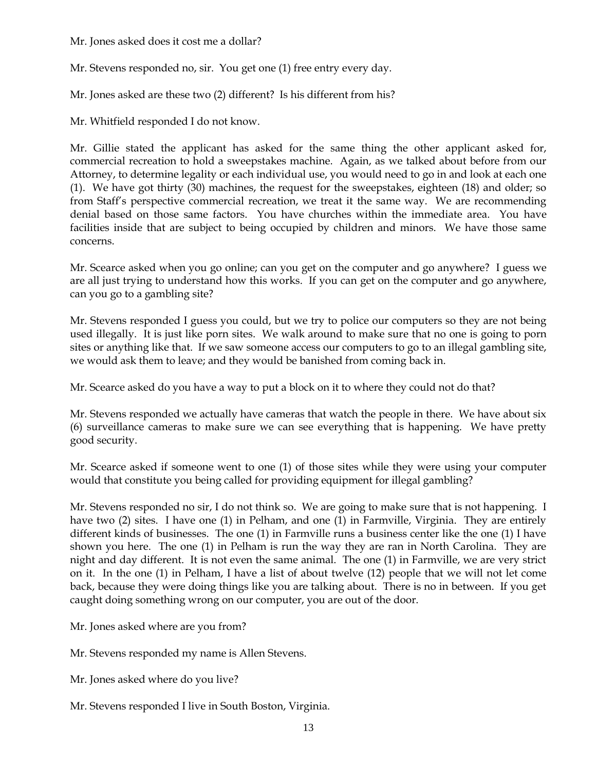Mr. Jones asked does it cost me a dollar?

Mr. Stevens responded no, sir. You get one (1) free entry every day.

Mr. Jones asked are these two (2) different? Is his different from his?

Mr. Whitfield responded I do not know.

Mr. Gillie stated the applicant has asked for the same thing the other applicant asked for, commercial recreation to hold a sweepstakes machine. Again, as we talked about before from our Attorney, to determine legality or each individual use, you would need to go in and look at each one (1). We have got thirty (30) machines, the request for the sweepstakes, eighteen (18) and older; so from Staff's perspective commercial recreation, we treat it the same way. We are recommending denial based on those same factors. You have churches within the immediate area. You have facilities inside that are subject to being occupied by children and minors. We have those same concerns.

Mr. Scearce asked when you go online; can you get on the computer and go anywhere? I guess we are all just trying to understand how this works. If you can get on the computer and go anywhere, can you go to a gambling site?

Mr. Stevens responded I guess you could, but we try to police our computers so they are not being used illegally. It is just like porn sites. We walk around to make sure that no one is going to porn sites or anything like that. If we saw someone access our computers to go to an illegal gambling site, we would ask them to leave; and they would be banished from coming back in.

Mr. Scearce asked do you have a way to put a block on it to where they could not do that?

Mr. Stevens responded we actually have cameras that watch the people in there. We have about six (6) surveillance cameras to make sure we can see everything that is happening. We have pretty good security.

Mr. Scearce asked if someone went to one (1) of those sites while they were using your computer would that constitute you being called for providing equipment for illegal gambling?

Mr. Stevens responded no sir, I do not think so. We are going to make sure that is not happening. I have two (2) sites. I have one (1) in Pelham, and one (1) in Farmville, Virginia. They are entirely different kinds of businesses. The one (1) in Farmville runs a business center like the one (1) I have shown you here. The one (1) in Pelham is run the way they are ran in North Carolina. They are night and day different. It is not even the same animal. The one (1) in Farmville, we are very strict on it. In the one (1) in Pelham, I have a list of about twelve (12) people that we will not let come back, because they were doing things like you are talking about. There is no in between. If you get caught doing something wrong on our computer, you are out of the door.

Mr. Jones asked where are you from?

Mr. Stevens responded my name is Allen Stevens.

Mr. Jones asked where do you live?

Mr. Stevens responded I live in South Boston, Virginia.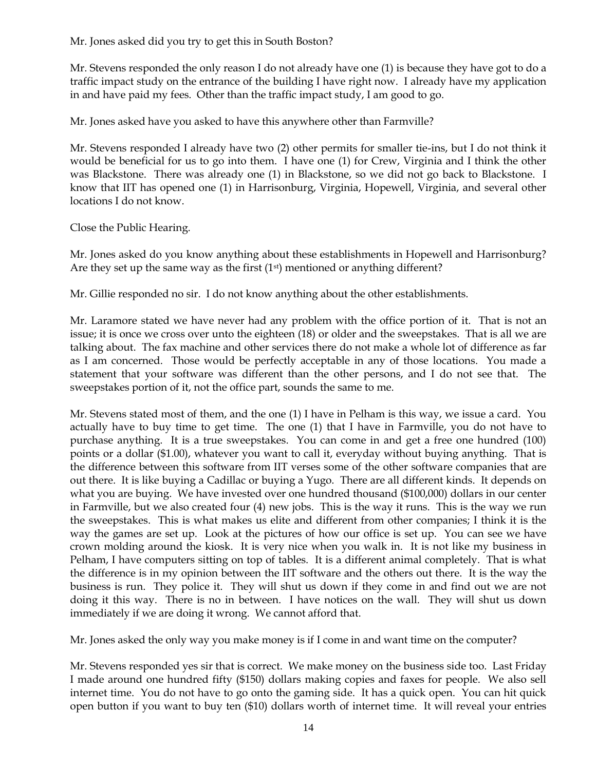Mr. Jones asked did you try to get this in South Boston?

Mr. Stevens responded the only reason I do not already have one (1) is because they have got to do a traffic impact study on the entrance of the building I have right now. I already have my application in and have paid my fees. Other than the traffic impact study, I am good to go.

Mr. Jones asked have you asked to have this anywhere other than Farmville?

Mr. Stevens responded I already have two (2) other permits for smaller tie-ins, but I do not think it would be beneficial for us to go into them. I have one (1) for Crew, Virginia and I think the other was Blackstone. There was already one (1) in Blackstone, so we did not go back to Blackstone. I know that IIT has opened one (1) in Harrisonburg, Virginia, Hopewell, Virginia, and several other locations I do not know.

Close the Public Hearing.

Mr. Jones asked do you know anything about these establishments in Hopewell and Harrisonburg? Are they set up the same way as the first  $(1<sup>st</sup>)$  mentioned or anything different?

Mr. Gillie responded no sir. I do not know anything about the other establishments.

Mr. Laramore stated we have never had any problem with the office portion of it. That is not an issue; it is once we cross over unto the eighteen (18) or older and the sweepstakes. That is all we are talking about. The fax machine and other services there do not make a whole lot of difference as far as I am concerned. Those would be perfectly acceptable in any of those locations. You made a statement that your software was different than the other persons, and I do not see that. The sweepstakes portion of it, not the office part, sounds the same to me.

Mr. Stevens stated most of them, and the one (1) I have in Pelham is this way, we issue a card. You actually have to buy time to get time. The one (1) that I have in Farmville, you do not have to purchase anything. It is a true sweepstakes. You can come in and get a free one hundred (100) points or a dollar (\$1.00), whatever you want to call it, everyday without buying anything. That is the difference between this software from IIT verses some of the other software companies that are out there. It is like buying a Cadillac or buying a Yugo. There are all different kinds. It depends on what you are buying. We have invested over one hundred thousand (\$100,000) dollars in our center in Farmville, but we also created four (4) new jobs. This is the way it runs. This is the way we run the sweepstakes. This is what makes us elite and different from other companies; I think it is the way the games are set up. Look at the pictures of how our office is set up. You can see we have crown molding around the kiosk. It is very nice when you walk in. It is not like my business in Pelham, I have computers sitting on top of tables. It is a different animal completely. That is what the difference is in my opinion between the IIT software and the others out there. It is the way the business is run. They police it. They will shut us down if they come in and find out we are not doing it this way. There is no in between. I have notices on the wall. They will shut us down immediately if we are doing it wrong. We cannot afford that.

Mr. Jones asked the only way you make money is if I come in and want time on the computer?

Mr. Stevens responded yes sir that is correct. We make money on the business side too. Last Friday I made around one hundred fifty (\$150) dollars making copies and faxes for people. We also sell internet time. You do not have to go onto the gaming side. It has a quick open. You can hit quick open button if you want to buy ten (\$10) dollars worth of internet time. It will reveal your entries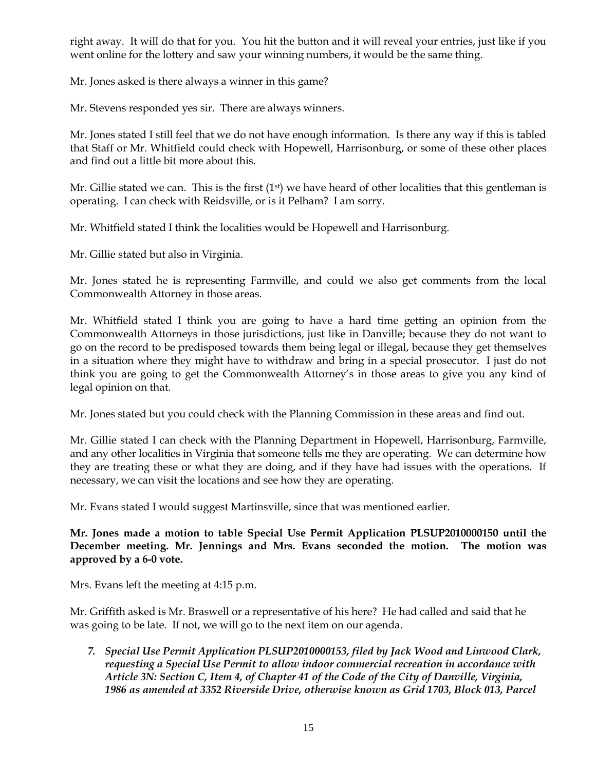right away. It will do that for you. You hit the button and it will reveal your entries, just like if you went online for the lottery and saw your winning numbers, it would be the same thing.

Mr. Jones asked is there always a winner in this game?

Mr. Stevens responded yes sir. There are always winners.

Mr. Jones stated I still feel that we do not have enough information. Is there any way if this is tabled that Staff or Mr. Whitfield could check with Hopewell, Harrisonburg, or some of these other places and find out a little bit more about this.

Mr. Gillie stated we can. This is the first  $(1<sup>st</sup>)$  we have heard of other localities that this gentleman is operating. I can check with Reidsville, or is it Pelham? I am sorry.

Mr. Whitfield stated I think the localities would be Hopewell and Harrisonburg.

Mr. Gillie stated but also in Virginia.

Mr. Jones stated he is representing Farmville, and could we also get comments from the local Commonwealth Attorney in those areas.

Mr. Whitfield stated I think you are going to have a hard time getting an opinion from the Commonwealth Attorneys in those jurisdictions, just like in Danville; because they do not want to go on the record to be predisposed towards them being legal or illegal, because they get themselves in a situation where they might have to withdraw and bring in a special prosecutor. I just do not think you are going to get the Commonwealth Attorney's in those areas to give you any kind of legal opinion on that.

Mr. Jones stated but you could check with the Planning Commission in these areas and find out.

Mr. Gillie stated I can check with the Planning Department in Hopewell, Harrisonburg, Farmville, and any other localities in Virginia that someone tells me they are operating. We can determine how they are treating these or what they are doing, and if they have had issues with the operations. If necessary, we can visit the locations and see how they are operating.

Mr. Evans stated I would suggest Martinsville, since that was mentioned earlier.

**Mr. Jones made a motion to table Special Use Permit Application PLSUP2010000150 until the December meeting. Mr. Jennings and Mrs. Evans seconded the motion. The motion was approved by a 6-0 vote.** 

Mrs. Evans left the meeting at 4:15 p.m.

Mr. Griffith asked is Mr. Braswell or a representative of his here? He had called and said that he was going to be late. If not, we will go to the next item on our agenda.

*7. Special Use Permit Application PLSUP2010000153, filed by Jack Wood and Linwood Clark, requesting a Special Use Permit to allow indoor commercial recreation in accordance with Article 3N: Section C, Item 4, of Chapter 41 of the Code of the City of Danville, Virginia, 1986 as amended at 3352 Riverside Drive, otherwise known as Grid 1703, Block 013, Parcel*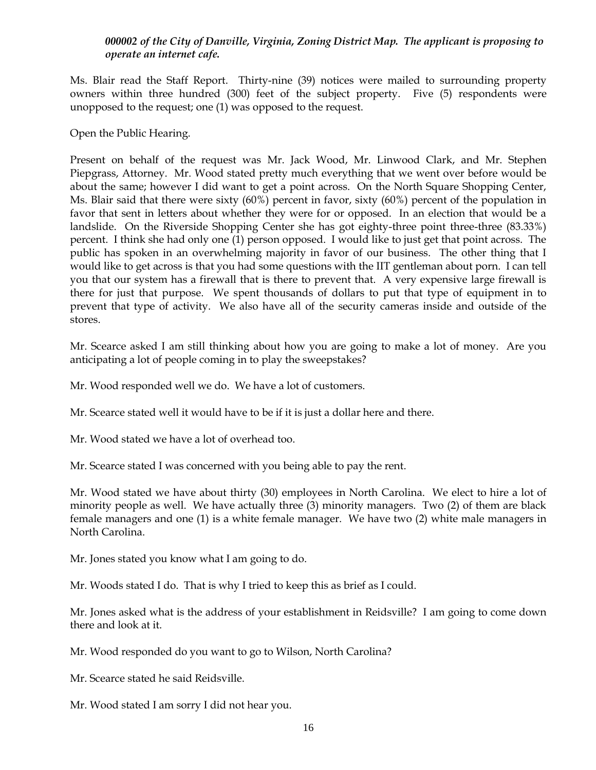### *000002 of the City of Danville, Virginia, Zoning District Map. The applicant is proposing to operate an internet cafe.*

Ms. Blair read the Staff Report. Thirty-nine (39) notices were mailed to surrounding property owners within three hundred (300) feet of the subject property. Five (5) respondents were unopposed to the request; one (1) was opposed to the request.

Open the Public Hearing.

Present on behalf of the request was Mr. Jack Wood, Mr. Linwood Clark, and Mr. Stephen Piepgrass, Attorney. Mr. Wood stated pretty much everything that we went over before would be about the same; however I did want to get a point across. On the North Square Shopping Center, Ms. Blair said that there were sixty (60%) percent in favor, sixty (60%) percent of the population in favor that sent in letters about whether they were for or opposed. In an election that would be a landslide. On the Riverside Shopping Center she has got eighty-three point three-three (83.33%) percent. I think she had only one (1) person opposed. I would like to just get that point across. The public has spoken in an overwhelming majority in favor of our business. The other thing that I would like to get across is that you had some questions with the IIT gentleman about porn. I can tell you that our system has a firewall that is there to prevent that. A very expensive large firewall is there for just that purpose. We spent thousands of dollars to put that type of equipment in to prevent that type of activity. We also have all of the security cameras inside and outside of the stores.

Mr. Scearce asked I am still thinking about how you are going to make a lot of money. Are you anticipating a lot of people coming in to play the sweepstakes?

Mr. Wood responded well we do. We have a lot of customers.

Mr. Scearce stated well it would have to be if it is just a dollar here and there.

Mr. Wood stated we have a lot of overhead too.

Mr. Scearce stated I was concerned with you being able to pay the rent.

Mr. Wood stated we have about thirty (30) employees in North Carolina. We elect to hire a lot of minority people as well. We have actually three (3) minority managers. Two (2) of them are black female managers and one (1) is a white female manager. We have two (2) white male managers in North Carolina.

Mr. Jones stated you know what I am going to do.

Mr. Woods stated I do. That is why I tried to keep this as brief as I could.

Mr. Jones asked what is the address of your establishment in Reidsville? I am going to come down there and look at it.

Mr. Wood responded do you want to go to Wilson, North Carolina?

Mr. Scearce stated he said Reidsville.

Mr. Wood stated I am sorry I did not hear you.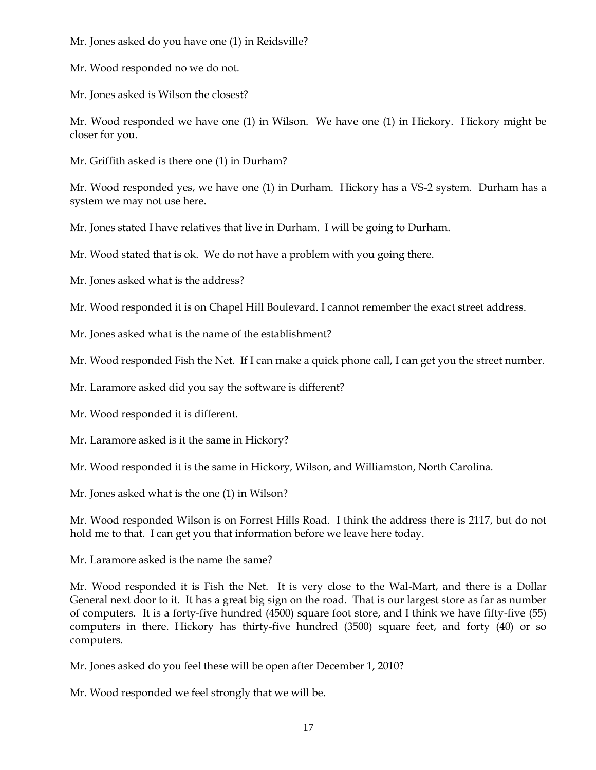Mr. Jones asked do you have one (1) in Reidsville?

Mr. Wood responded no we do not.

Mr. Jones asked is Wilson the closest?

Mr. Wood responded we have one (1) in Wilson. We have one (1) in Hickory. Hickory might be closer for you.

Mr. Griffith asked is there one (1) in Durham?

Mr. Wood responded yes, we have one (1) in Durham. Hickory has a VS-2 system. Durham has a system we may not use here.

Mr. Jones stated I have relatives that live in Durham. I will be going to Durham.

Mr. Wood stated that is ok. We do not have a problem with you going there.

Mr. Jones asked what is the address?

Mr. Wood responded it is on Chapel Hill Boulevard. I cannot remember the exact street address.

Mr. Jones asked what is the name of the establishment?

Mr. Wood responded Fish the Net. If I can make a quick phone call, I can get you the street number.

Mr. Laramore asked did you say the software is different?

Mr. Wood responded it is different.

Mr. Laramore asked is it the same in Hickory?

Mr. Wood responded it is the same in Hickory, Wilson, and Williamston, North Carolina.

Mr. Jones asked what is the one (1) in Wilson?

Mr. Wood responded Wilson is on Forrest Hills Road. I think the address there is 2117, but do not hold me to that. I can get you that information before we leave here today.

Mr. Laramore asked is the name the same?

Mr. Wood responded it is Fish the Net. It is very close to the Wal-Mart, and there is a Dollar General next door to it. It has a great big sign on the road. That is our largest store as far as number of computers. It is a forty-five hundred (4500) square foot store, and I think we have fifty-five (55) computers in there. Hickory has thirty-five hundred (3500) square feet, and forty (40) or so computers.

Mr. Jones asked do you feel these will be open after December 1, 2010?

Mr. Wood responded we feel strongly that we will be.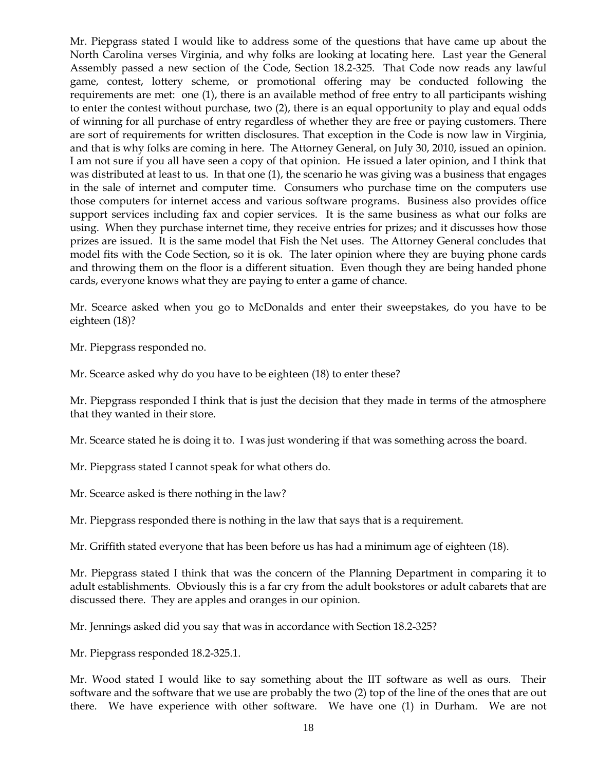Mr. Piepgrass stated I would like to address some of the questions that have came up about the North Carolina verses Virginia, and why folks are looking at locating here. Last year the General Assembly passed a new section of the Code, Section 18.2-325. That Code now reads any lawful game, contest, lottery scheme, or promotional offering may be conducted following the requirements are met: one (1), there is an available method of free entry to all participants wishing to enter the contest without purchase, two (2), there is an equal opportunity to play and equal odds of winning for all purchase of entry regardless of whether they are free or paying customers. There are sort of requirements for written disclosures. That exception in the Code is now law in Virginia, and that is why folks are coming in here. The Attorney General, on July 30, 2010, issued an opinion. I am not sure if you all have seen a copy of that opinion. He issued a later opinion, and I think that was distributed at least to us. In that one (1), the scenario he was giving was a business that engages in the sale of internet and computer time. Consumers who purchase time on the computers use those computers for internet access and various software programs. Business also provides office support services including fax and copier services. It is the same business as what our folks are using. When they purchase internet time, they receive entries for prizes; and it discusses how those prizes are issued. It is the same model that Fish the Net uses. The Attorney General concludes that model fits with the Code Section, so it is ok. The later opinion where they are buying phone cards and throwing them on the floor is a different situation. Even though they are being handed phone cards, everyone knows what they are paying to enter a game of chance.

Mr. Scearce asked when you go to McDonalds and enter their sweepstakes, do you have to be eighteen (18)?

Mr. Piepgrass responded no.

Mr. Scearce asked why do you have to be eighteen (18) to enter these?

Mr. Piepgrass responded I think that is just the decision that they made in terms of the atmosphere that they wanted in their store.

Mr. Scearce stated he is doing it to. I was just wondering if that was something across the board.

Mr. Piepgrass stated I cannot speak for what others do.

Mr. Scearce asked is there nothing in the law?

Mr. Piepgrass responded there is nothing in the law that says that is a requirement.

Mr. Griffith stated everyone that has been before us has had a minimum age of eighteen (18).

Mr. Piepgrass stated I think that was the concern of the Planning Department in comparing it to adult establishments. Obviously this is a far cry from the adult bookstores or adult cabarets that are discussed there. They are apples and oranges in our opinion.

Mr. Jennings asked did you say that was in accordance with Section 18.2-325?

Mr. Piepgrass responded 18.2-325.1.

Mr. Wood stated I would like to say something about the IIT software as well as ours. Their software and the software that we use are probably the two (2) top of the line of the ones that are out there. We have experience with other software. We have one (1) in Durham. We are not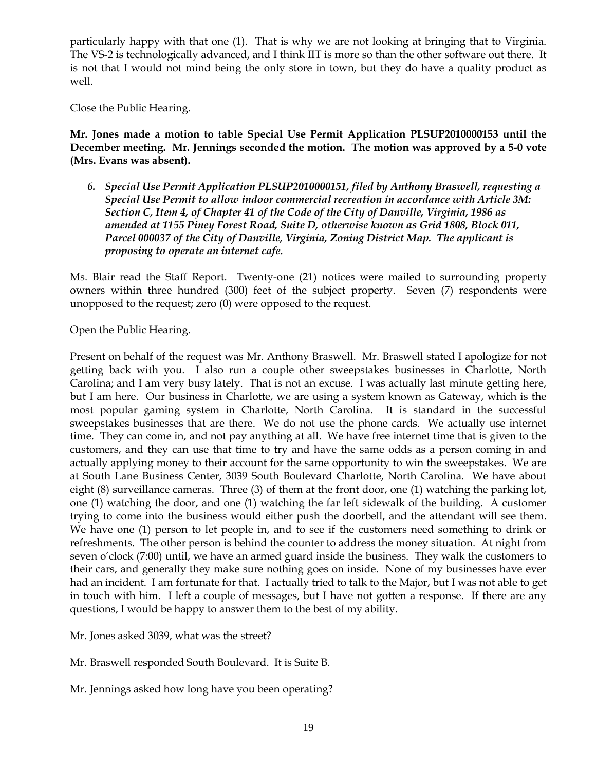particularly happy with that one (1). That is why we are not looking at bringing that to Virginia. The VS-2 is technologically advanced, and I think IIT is more so than the other software out there. It is not that I would not mind being the only store in town, but they do have a quality product as well.

Close the Public Hearing.

**Mr. Jones made a motion to table Special Use Permit Application PLSUP2010000153 until the December meeting. Mr. Jennings seconded the motion. The motion was approved by a 5-0 vote (Mrs. Evans was absent).** 

*6. Special Use Permit Application PLSUP2010000151, filed by Anthony Braswell, requesting a Special Use Permit to allow indoor commercial recreation in accordance with Article 3M: Section C, Item 4, of Chapter 41 of the Code of the City of Danville, Virginia, 1986 as amended at 1155 Piney Forest Road, Suite D, otherwise known as Grid 1808, Block 011, Parcel 000037 of the City of Danville, Virginia, Zoning District Map. The applicant is proposing to operate an internet cafe.*

Ms. Blair read the Staff Report. Twenty-one (21) notices were mailed to surrounding property owners within three hundred (300) feet of the subject property. Seven (7) respondents were unopposed to the request; zero (0) were opposed to the request.

Open the Public Hearing.

Present on behalf of the request was Mr. Anthony Braswell. Mr. Braswell stated I apologize for not getting back with you. I also run a couple other sweepstakes businesses in Charlotte, North Carolina; and I am very busy lately. That is not an excuse. I was actually last minute getting here, but I am here. Our business in Charlotte, we are using a system known as Gateway, which is the most popular gaming system in Charlotte, North Carolina. It is standard in the successful sweepstakes businesses that are there. We do not use the phone cards. We actually use internet time. They can come in, and not pay anything at all. We have free internet time that is given to the customers, and they can use that time to try and have the same odds as a person coming in and actually applying money to their account for the same opportunity to win the sweepstakes. We are at South Lane Business Center, 3039 South Boulevard Charlotte, North Carolina. We have about eight (8) surveillance cameras. Three (3) of them at the front door, one (1) watching the parking lot, one (1) watching the door, and one (1) watching the far left sidewalk of the building. A customer trying to come into the business would either push the doorbell, and the attendant will see them. We have one (1) person to let people in, and to see if the customers need something to drink or refreshments. The other person is behind the counter to address the money situation. At night from seven o'clock (7:00) until, we have an armed guard inside the business. They walk the customers to their cars, and generally they make sure nothing goes on inside. None of my businesses have ever had an incident. I am fortunate for that. I actually tried to talk to the Major, but I was not able to get in touch with him. I left a couple of messages, but I have not gotten a response. If there are any questions, I would be happy to answer them to the best of my ability.

Mr. Jones asked 3039, what was the street?

Mr. Braswell responded South Boulevard. It is Suite B.

Mr. Jennings asked how long have you been operating?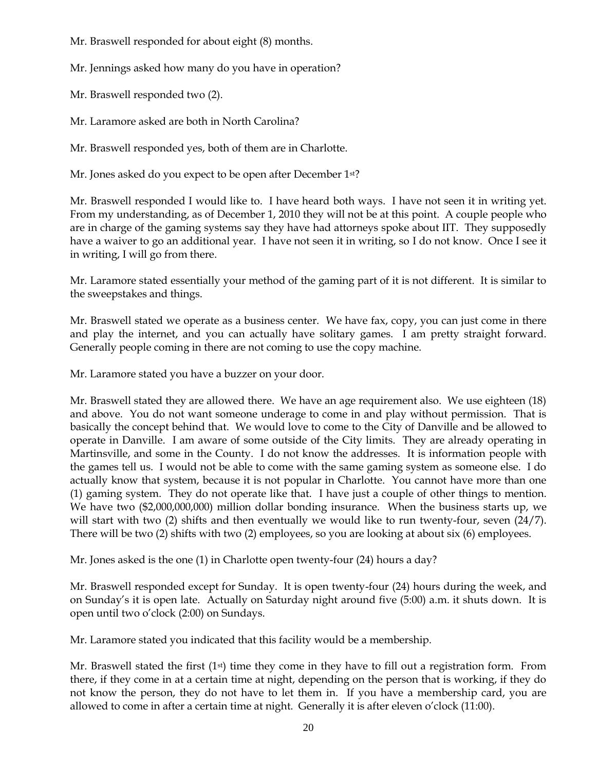Mr. Braswell responded for about eight (8) months.

Mr. Jennings asked how many do you have in operation?

Mr. Braswell responded two (2).

Mr. Laramore asked are both in North Carolina?

Mr. Braswell responded yes, both of them are in Charlotte.

Mr. Jones asked do you expect to be open after December 1st?

Mr. Braswell responded I would like to. I have heard both ways. I have not seen it in writing yet. From my understanding, as of December 1, 2010 they will not be at this point. A couple people who are in charge of the gaming systems say they have had attorneys spoke about IIT. They supposedly have a waiver to go an additional year. I have not seen it in writing, so I do not know. Once I see it in writing, I will go from there.

Mr. Laramore stated essentially your method of the gaming part of it is not different. It is similar to the sweepstakes and things.

Mr. Braswell stated we operate as a business center. We have fax, copy, you can just come in there and play the internet, and you can actually have solitary games. I am pretty straight forward. Generally people coming in there are not coming to use the copy machine.

Mr. Laramore stated you have a buzzer on your door.

Mr. Braswell stated they are allowed there. We have an age requirement also. We use eighteen (18) and above. You do not want someone underage to come in and play without permission. That is basically the concept behind that. We would love to come to the City of Danville and be allowed to operate in Danville. I am aware of some outside of the City limits. They are already operating in Martinsville, and some in the County. I do not know the addresses. It is information people with the games tell us. I would not be able to come with the same gaming system as someone else. I do actually know that system, because it is not popular in Charlotte. You cannot have more than one (1) gaming system. They do not operate like that. I have just a couple of other things to mention. We have two (\$2,000,000,000) million dollar bonding insurance. When the business starts up, we will start with two (2) shifts and then eventually we would like to run twenty-four, seven (24/7). There will be two (2) shifts with two (2) employees, so you are looking at about six (6) employees.

Mr. Jones asked is the one (1) in Charlotte open twenty-four (24) hours a day?

Mr. Braswell responded except for Sunday. It is open twenty-four (24) hours during the week, and on Sunday's it is open late. Actually on Saturday night around five (5:00) a.m. it shuts down. It is open until two o'clock (2:00) on Sundays.

Mr. Laramore stated you indicated that this facility would be a membership.

Mr. Braswell stated the first  $(1<sup>st</sup>)$  time they come in they have to fill out a registration form. From there, if they come in at a certain time at night, depending on the person that is working, if they do not know the person, they do not have to let them in. If you have a membership card, you are allowed to come in after a certain time at night. Generally it is after eleven o'clock (11:00).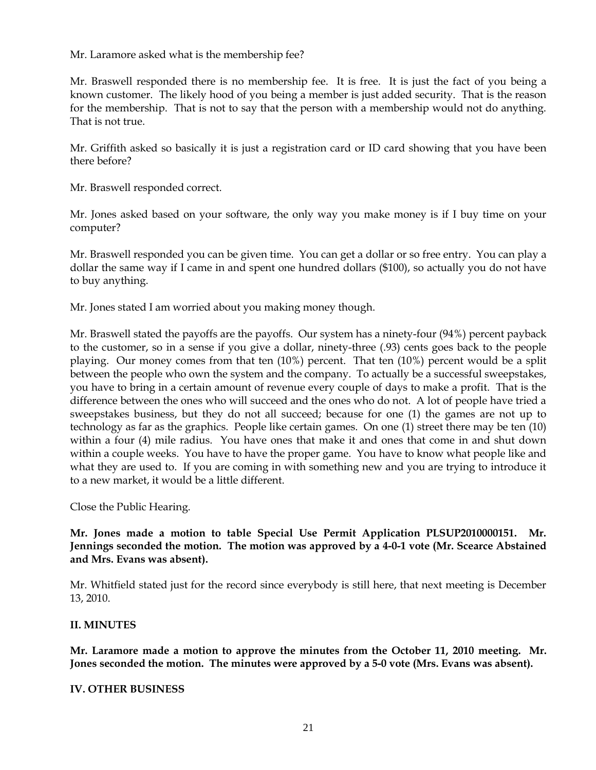Mr. Laramore asked what is the membership fee?

Mr. Braswell responded there is no membership fee. It is free. It is just the fact of you being a known customer. The likely hood of you being a member is just added security. That is the reason for the membership. That is not to say that the person with a membership would not do anything. That is not true.

Mr. Griffith asked so basically it is just a registration card or ID card showing that you have been there before?

Mr. Braswell responded correct.

Mr. Jones asked based on your software, the only way you make money is if I buy time on your computer?

Mr. Braswell responded you can be given time. You can get a dollar or so free entry. You can play a dollar the same way if I came in and spent one hundred dollars (\$100), so actually you do not have to buy anything.

Mr. Jones stated I am worried about you making money though.

Mr. Braswell stated the payoffs are the payoffs. Our system has a ninety-four (94%) percent payback to the customer, so in a sense if you give a dollar, ninety-three (.93) cents goes back to the people playing. Our money comes from that ten (10%) percent. That ten (10%) percent would be a split between the people who own the system and the company. To actually be a successful sweepstakes, you have to bring in a certain amount of revenue every couple of days to make a profit. That is the difference between the ones who will succeed and the ones who do not. A lot of people have tried a sweepstakes business, but they do not all succeed; because for one (1) the games are not up to technology as far as the graphics. People like certain games. On one (1) street there may be ten (10) within a four (4) mile radius. You have ones that make it and ones that come in and shut down within a couple weeks. You have to have the proper game. You have to know what people like and what they are used to. If you are coming in with something new and you are trying to introduce it to a new market, it would be a little different.

Close the Public Hearing.

**Mr. Jones made a motion to table Special Use Permit Application PLSUP2010000151. Mr. Jennings seconded the motion. The motion was approved by a 4-0-1 vote (Mr. Scearce Abstained and Mrs. Evans was absent).** 

Mr. Whitfield stated just for the record since everybody is still here, that next meeting is December 13, 2010.

### **II. MINUTES**

**Mr. Laramore made a motion to approve the minutes from the October 11, 2010 meeting. Mr. Jones seconded the motion. The minutes were approved by a 5-0 vote (Mrs. Evans was absent).**

### **IV. OTHER BUSINESS**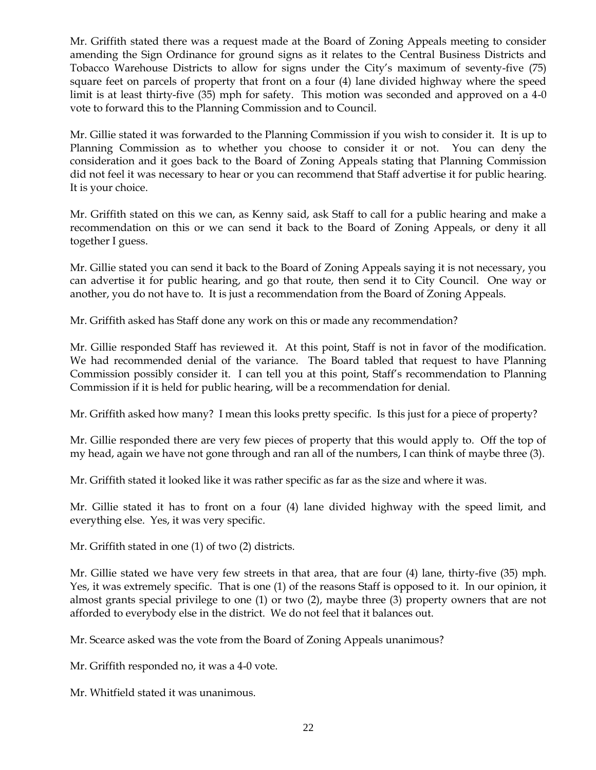Mr. Griffith stated there was a request made at the Board of Zoning Appeals meeting to consider amending the Sign Ordinance for ground signs as it relates to the Central Business Districts and Tobacco Warehouse Districts to allow for signs under the City's maximum of seventy-five (75) square feet on parcels of property that front on a four (4) lane divided highway where the speed limit is at least thirty-five (35) mph for safety. This motion was seconded and approved on a 4-0 vote to forward this to the Planning Commission and to Council.

Mr. Gillie stated it was forwarded to the Planning Commission if you wish to consider it. It is up to Planning Commission as to whether you choose to consider it or not. You can deny the consideration and it goes back to the Board of Zoning Appeals stating that Planning Commission did not feel it was necessary to hear or you can recommend that Staff advertise it for public hearing. It is your choice.

Mr. Griffith stated on this we can, as Kenny said, ask Staff to call for a public hearing and make a recommendation on this or we can send it back to the Board of Zoning Appeals, or deny it all together I guess.

Mr. Gillie stated you can send it back to the Board of Zoning Appeals saying it is not necessary, you can advertise it for public hearing, and go that route, then send it to City Council. One way or another, you do not have to. It is just a recommendation from the Board of Zoning Appeals.

Mr. Griffith asked has Staff done any work on this or made any recommendation?

Mr. Gillie responded Staff has reviewed it. At this point, Staff is not in favor of the modification. We had recommended denial of the variance. The Board tabled that request to have Planning Commission possibly consider it. I can tell you at this point, Staff's recommendation to Planning Commission if it is held for public hearing, will be a recommendation for denial.

Mr. Griffith asked how many? I mean this looks pretty specific. Is this just for a piece of property?

Mr. Gillie responded there are very few pieces of property that this would apply to. Off the top of my head, again we have not gone through and ran all of the numbers, I can think of maybe three (3).

Mr. Griffith stated it looked like it was rather specific as far as the size and where it was.

Mr. Gillie stated it has to front on a four (4) lane divided highway with the speed limit, and everything else. Yes, it was very specific.

Mr. Griffith stated in one (1) of two (2) districts.

Mr. Gillie stated we have very few streets in that area, that are four (4) lane, thirty-five (35) mph. Yes, it was extremely specific. That is one (1) of the reasons Staff is opposed to it. In our opinion, it almost grants special privilege to one (1) or two (2), maybe three (3) property owners that are not afforded to everybody else in the district. We do not feel that it balances out.

Mr. Scearce asked was the vote from the Board of Zoning Appeals unanimous?

Mr. Griffith responded no, it was a 4-0 vote.

Mr. Whitfield stated it was unanimous.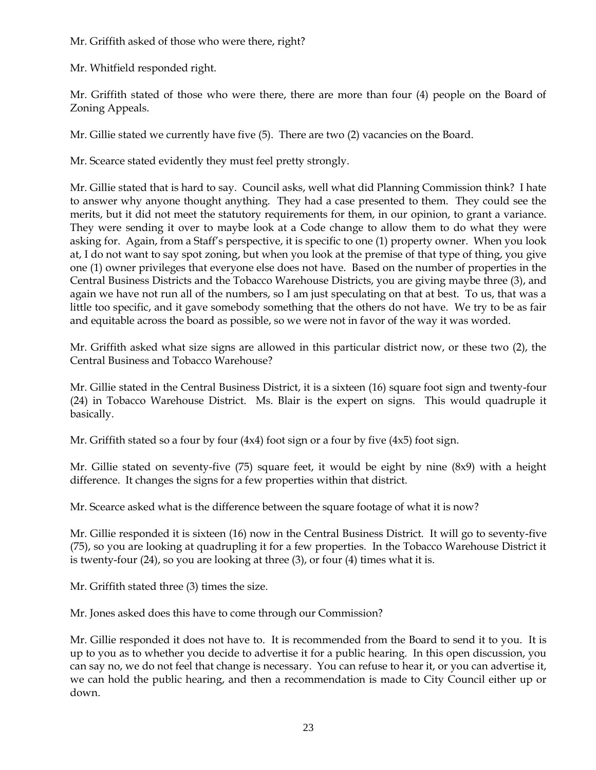Mr. Griffith asked of those who were there, right?

Mr. Whitfield responded right.

Mr. Griffith stated of those who were there, there are more than four (4) people on the Board of Zoning Appeals.

Mr. Gillie stated we currently have five (5). There are two (2) vacancies on the Board.

Mr. Scearce stated evidently they must feel pretty strongly.

Mr. Gillie stated that is hard to say. Council asks, well what did Planning Commission think? I hate to answer why anyone thought anything. They had a case presented to them. They could see the merits, but it did not meet the statutory requirements for them, in our opinion, to grant a variance. They were sending it over to maybe look at a Code change to allow them to do what they were asking for. Again, from a Staff's perspective, it is specific to one (1) property owner. When you look at, I do not want to say spot zoning, but when you look at the premise of that type of thing, you give one (1) owner privileges that everyone else does not have. Based on the number of properties in the Central Business Districts and the Tobacco Warehouse Districts, you are giving maybe three (3), and again we have not run all of the numbers, so I am just speculating on that at best. To us, that was a little too specific, and it gave somebody something that the others do not have. We try to be as fair and equitable across the board as possible, so we were not in favor of the way it was worded.

Mr. Griffith asked what size signs are allowed in this particular district now, or these two (2), the Central Business and Tobacco Warehouse?

Mr. Gillie stated in the Central Business District, it is a sixteen (16) square foot sign and twenty-four (24) in Tobacco Warehouse District. Ms. Blair is the expert on signs. This would quadruple it basically.

Mr. Griffith stated so a four by four (4x4) foot sign or a four by five (4x5) foot sign.

Mr. Gillie stated on seventy-five (75) square feet, it would be eight by nine (8x9) with a height difference. It changes the signs for a few properties within that district.

Mr. Scearce asked what is the difference between the square footage of what it is now?

Mr. Gillie responded it is sixteen (16) now in the Central Business District. It will go to seventy-five (75), so you are looking at quadrupling it for a few properties. In the Tobacco Warehouse District it is twenty-four (24), so you are looking at three (3), or four (4) times what it is.

Mr. Griffith stated three (3) times the size.

Mr. Jones asked does this have to come through our Commission?

Mr. Gillie responded it does not have to. It is recommended from the Board to send it to you. It is up to you as to whether you decide to advertise it for a public hearing. In this open discussion, you can say no, we do not feel that change is necessary. You can refuse to hear it, or you can advertise it, we can hold the public hearing, and then a recommendation is made to City Council either up or down.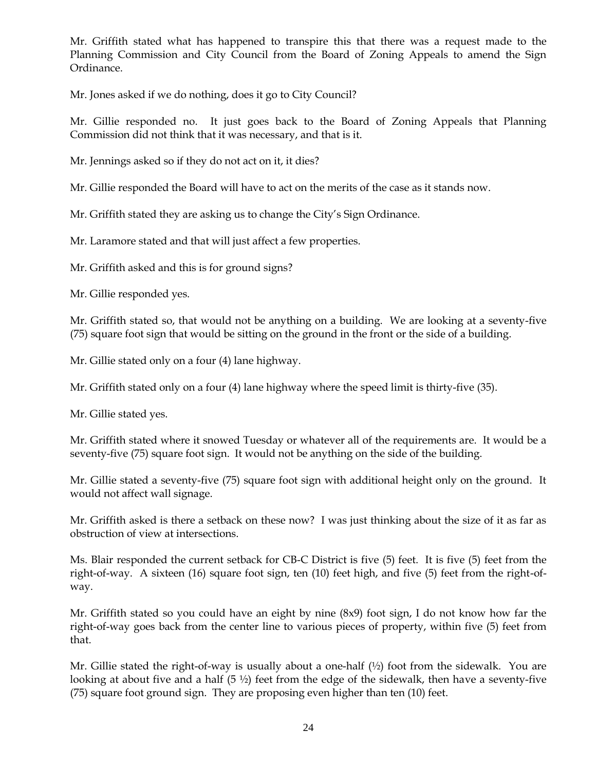Mr. Griffith stated what has happened to transpire this that there was a request made to the Planning Commission and City Council from the Board of Zoning Appeals to amend the Sign Ordinance.

Mr. Jones asked if we do nothing, does it go to City Council?

Mr. Gillie responded no. It just goes back to the Board of Zoning Appeals that Planning Commission did not think that it was necessary, and that is it.

Mr. Jennings asked so if they do not act on it, it dies?

Mr. Gillie responded the Board will have to act on the merits of the case as it stands now.

Mr. Griffith stated they are asking us to change the City's Sign Ordinance.

Mr. Laramore stated and that will just affect a few properties.

Mr. Griffith asked and this is for ground signs?

Mr. Gillie responded yes.

Mr. Griffith stated so, that would not be anything on a building. We are looking at a seventy-five (75) square foot sign that would be sitting on the ground in the front or the side of a building.

Mr. Gillie stated only on a four (4) lane highway.

Mr. Griffith stated only on a four (4) lane highway where the speed limit is thirty-five (35).

Mr. Gillie stated yes.

Mr. Griffith stated where it snowed Tuesday or whatever all of the requirements are. It would be a seventy-five (75) square foot sign. It would not be anything on the side of the building.

Mr. Gillie stated a seventy-five (75) square foot sign with additional height only on the ground. It would not affect wall signage.

Mr. Griffith asked is there a setback on these now? I was just thinking about the size of it as far as obstruction of view at intersections.

Ms. Blair responded the current setback for CB-C District is five (5) feet. It is five (5) feet from the right-of-way. A sixteen (16) square foot sign, ten (10) feet high, and five (5) feet from the right-ofway.

Mr. Griffith stated so you could have an eight by nine (8x9) foot sign, I do not know how far the right-of-way goes back from the center line to various pieces of property, within five (5) feet from that.

Mr. Gillie stated the right-of-way is usually about a one-half (½) foot from the sidewalk. You are looking at about five and a half  $(5 \frac{1}{2})$  feet from the edge of the sidewalk, then have a seventy-five (75) square foot ground sign. They are proposing even higher than ten (10) feet.